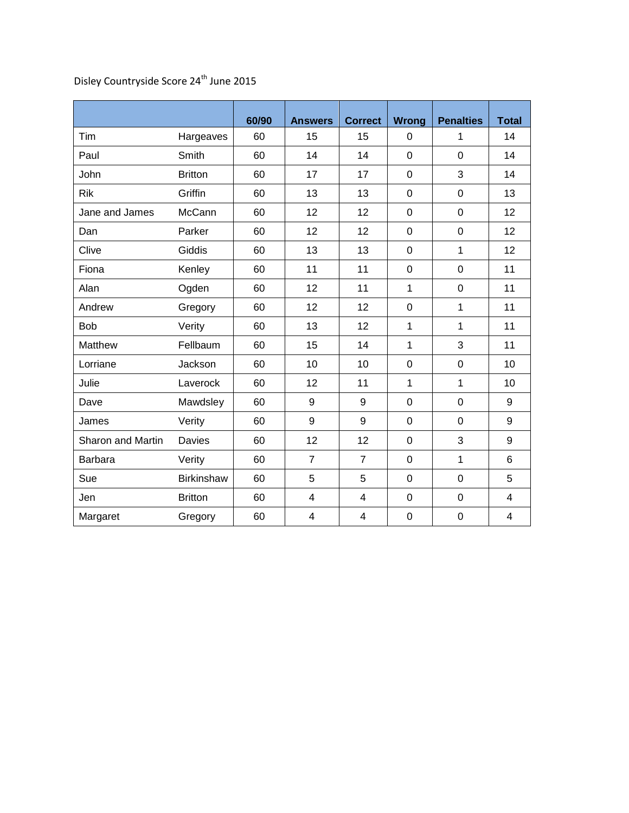|                   |                   | 60/90 | <b>Answers</b> | <b>Correct</b>          | <b>Wrong</b> | <b>Penalties</b> | <b>Total</b> |
|-------------------|-------------------|-------|----------------|-------------------------|--------------|------------------|--------------|
| Tim               | Hargeaves         | 60    | 15             | 15                      | 0            | 1                | 14           |
| Paul              | Smith             | 60    | 14             | 14                      | 0            | $\mathbf 0$      | 14           |
| John              | <b>Britton</b>    | 60    | 17             | 17                      | 0            | 3                | 14           |
| <b>Rik</b>        | Griffin           | 60    | 13             | 13                      | 0            | $\mathbf 0$      | 13           |
| Jane and James    | McCann            | 60    | 12             | 12                      | 0            | $\boldsymbol{0}$ | 12           |
| Dan               | Parker            | 60    | 12             | 12                      | 0            | $\mathbf 0$      | 12           |
| Clive             | Giddis            | 60    | 13             | 13                      | 0            | $\mathbf{1}$     | 12           |
| Fiona             | Kenley            | 60    | 11             | 11                      | $\mathbf 0$  | $\boldsymbol{0}$ | 11           |
| Alan              | Ogden             | 60    | 12             | 11                      | $\mathbf{1}$ | $\mathbf 0$      | 11           |
| Andrew            | Gregory           | 60    | 12             | 12                      | 0            | 1                | 11           |
| Bob               | Verity            | 60    | 13             | 12                      | $\mathbf{1}$ | 1                | 11           |
| Matthew           | Fellbaum          | 60    | 15             | 14                      | $\mathbf{1}$ | 3                | 11           |
| Lorriane          | Jackson           | 60    | 10             | 10                      | 0            | $\mathbf 0$      | 10           |
| Julie             | Laverock          | 60    | 12             | 11                      | $\mathbf{1}$ | 1                | 10           |
| Dave              | Mawdsley          | 60    | 9              | 9                       | 0            | $\mathbf 0$      | 9            |
| James             | Verity            | 60    | 9              | 9                       | 0            | $\mathbf 0$      | 9            |
| Sharon and Martin | <b>Davies</b>     | 60    | 12             | 12                      | $\mathbf 0$  | 3                | 9            |
| <b>Barbara</b>    | Verity            | 60    | $\overline{7}$ | $\overline{7}$          | 0            | 1                | 6            |
| Sue               | <b>Birkinshaw</b> | 60    | 5              | 5                       | 0            | $\mathbf 0$      | 5            |
| Jen               | <b>Britton</b>    | 60    | 4              | $\overline{\mathbf{4}}$ | 0            | $\boldsymbol{0}$ | 4            |
| Margaret          | Gregory           | 60    | $\overline{4}$ | $\overline{\mathbf{4}}$ | 0            | $\mathbf 0$      | 4            |